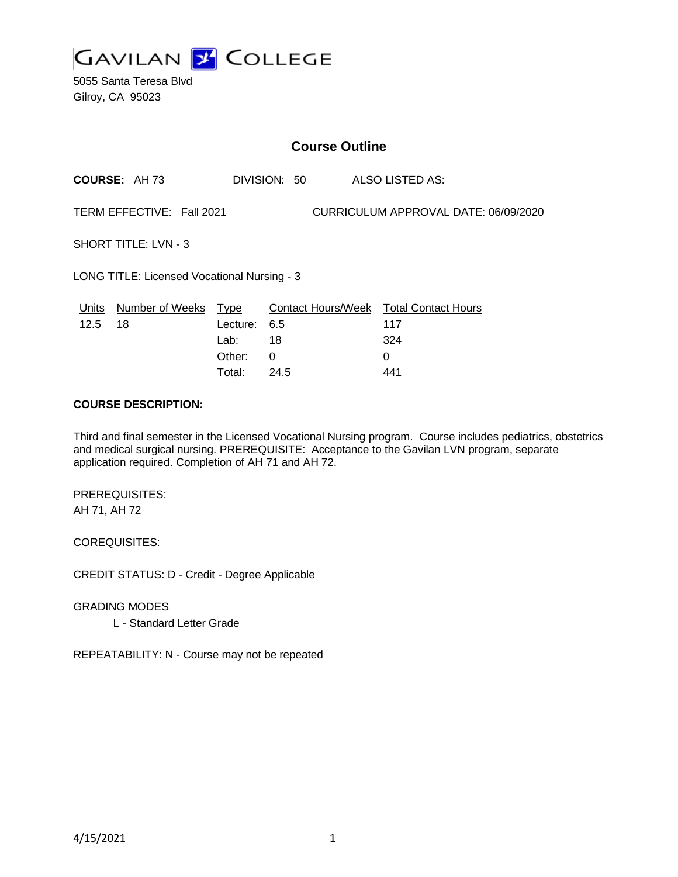

5055 Santa Teresa Blvd Gilroy, CA 95023

|                                             |                                  |          |              | <b>Course Outline</b>                |                                               |  |
|---------------------------------------------|----------------------------------|----------|--------------|--------------------------------------|-----------------------------------------------|--|
|                                             | <b>COURSE: AH73</b>              |          | DIVISION: 50 |                                      | ALSO LISTED AS:                               |  |
| TERM EFFECTIVE: Fall 2021                   |                                  |          |              | CURRICULUM APPROVAL DATE: 06/09/2020 |                                               |  |
| <b>SHORT TITLE: LVN - 3</b>                 |                                  |          |              |                                      |                                               |  |
| LONG TITLE: Licensed Vocational Nursing - 3 |                                  |          |              |                                      |                                               |  |
| 12.5                                        | Units Number of Weeks Type<br>18 | Lecture: | 6.5          |                                      | Contact Hours/Week Total Contact Hours<br>117 |  |
|                                             |                                  | Lab:     | 18           |                                      | 324                                           |  |
|                                             |                                  | Other:   | 0            |                                      | 0                                             |  |

Total: 24.5 441

#### **COURSE DESCRIPTION:**

Third and final semester in the Licensed Vocational Nursing program. Course includes pediatrics, obstetrics and medical surgical nursing. PREREQUISITE: Acceptance to the Gavilan LVN program, separate application required. Completion of AH 71 and AH 72.

PREREQUISITES: AH 71, AH 72

COREQUISITES:

CREDIT STATUS: D - Credit - Degree Applicable

GRADING MODES

L - Standard Letter Grade

REPEATABILITY: N - Course may not be repeated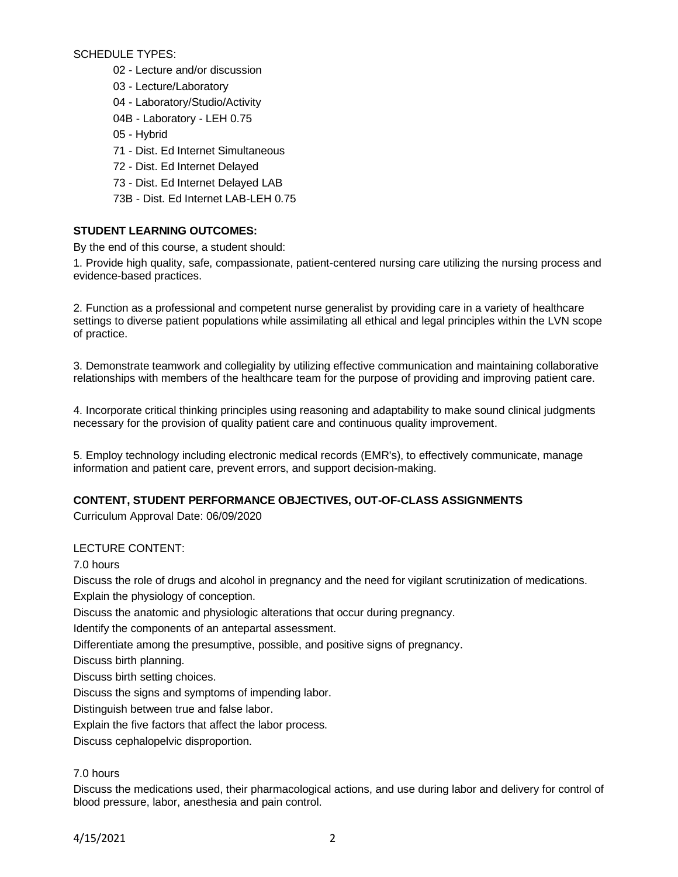SCHEDULE TYPES:

- 02 Lecture and/or discussion
- 03 Lecture/Laboratory
- 04 Laboratory/Studio/Activity
- 04B Laboratory LEH 0.75
- 05 Hybrid
- 71 Dist. Ed Internet Simultaneous
- 72 Dist. Ed Internet Delayed
- 73 Dist. Ed Internet Delayed LAB
- 73B Dist. Ed Internet LAB-LEH 0.75

# **STUDENT LEARNING OUTCOMES:**

By the end of this course, a student should:

1. Provide high quality, safe, compassionate, patient-centered nursing care utilizing the nursing process and evidence-based practices.

2. Function as a professional and competent nurse generalist by providing care in a variety of healthcare settings to diverse patient populations while assimilating all ethical and legal principles within the LVN scope of practice.

3. Demonstrate teamwork and collegiality by utilizing effective communication and maintaining collaborative relationships with members of the healthcare team for the purpose of providing and improving patient care.

4. Incorporate critical thinking principles using reasoning and adaptability to make sound clinical judgments necessary for the provision of quality patient care and continuous quality improvement.

5. Employ technology including electronic medical records (EMR's), to effectively communicate, manage information and patient care, prevent errors, and support decision-making.

# **CONTENT, STUDENT PERFORMANCE OBJECTIVES, OUT-OF-CLASS ASSIGNMENTS**

Curriculum Approval Date: 06/09/2020

# LECTURE CONTENT:

7.0 hours

Discuss the role of drugs and alcohol in pregnancy and the need for vigilant scrutinization of medications. Explain the physiology of conception.

Discuss the anatomic and physiologic alterations that occur during pregnancy.

Identify the components of an antepartal assessment.

Differentiate among the presumptive, possible, and positive signs of pregnancy.

Discuss birth planning.

Discuss birth setting choices.

Discuss the signs and symptoms of impending labor.

Distinguish between true and false labor.

Explain the five factors that affect the labor process.

Discuss cephalopelvic disproportion.

# 7.0 hours

Discuss the medications used, their pharmacological actions, and use during labor and delivery for control of blood pressure, labor, anesthesia and pain control.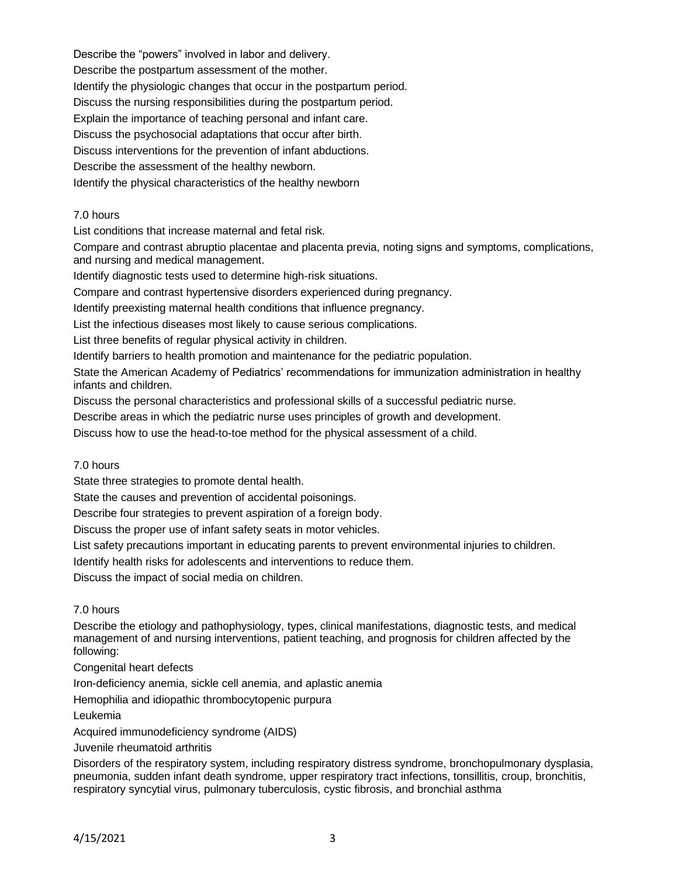Describe the "powers" involved in labor and delivery. Describe the postpartum assessment of the mother. Identify the physiologic changes that occur in the postpartum period. Discuss the nursing responsibilities during the postpartum period. Explain the importance of teaching personal and infant care. Discuss the psychosocial adaptations that occur after birth. Discuss interventions for the prevention of infant abductions. Describe the assessment of the healthy newborn. Identify the physical characteristics of the healthy newborn

## 7.0 hours

List conditions that increase maternal and fetal risk.

Compare and contrast abruptio placentae and placenta previa, noting signs and symptoms, complications, and nursing and medical management.

Identify diagnostic tests used to determine high-risk situations.

Compare and contrast hypertensive disorders experienced during pregnancy.

Identify preexisting maternal health conditions that influence pregnancy.

List the infectious diseases most likely to cause serious complications.

List three benefits of regular physical activity in children.

Identify barriers to health promotion and maintenance for the pediatric population.

State the American Academy of Pediatrics' recommendations for immunization administration in healthy infants and children.

Discuss the personal characteristics and professional skills of a successful pediatric nurse.

Describe areas in which the pediatric nurse uses principles of growth and development.

Discuss how to use the head-to-toe method for the physical assessment of a child.

#### 7.0 hours

State three strategies to promote dental health.

State the causes and prevention of accidental poisonings.

Describe four strategies to prevent aspiration of a foreign body.

Discuss the proper use of infant safety seats in motor vehicles.

List safety precautions important in educating parents to prevent environmental injuries to children.

Identify health risks for adolescents and interventions to reduce them.

Discuss the impact of social media on children.

## 7.0 hours

Describe the etiology and pathophysiology, types, clinical manifestations, diagnostic tests, and medical management of and nursing interventions, patient teaching, and prognosis for children affected by the following:

## Congenital heart defects

Iron-deficiency anemia, sickle cell anemia, and aplastic anemia

Hemophilia and idiopathic thrombocytopenic purpura

Leukemia

Acquired immunodeficiency syndrome (AIDS)

## Juvenile rheumatoid arthritis

Disorders of the respiratory system, including respiratory distress syndrome, bronchopulmonary dysplasia, pneumonia, sudden infant death syndrome, upper respiratory tract infections, tonsillitis, croup, bronchitis, respiratory syncytial virus, pulmonary tuberculosis, cystic fibrosis, and bronchial asthma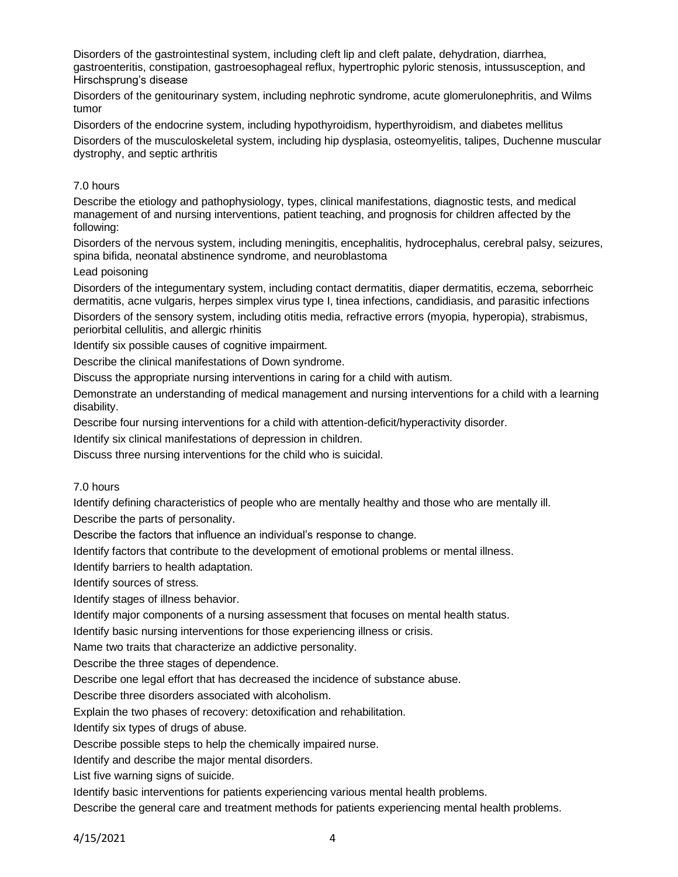Disorders of the gastrointestinal system, including cleft lip and cleft palate, dehydration, diarrhea, gastroenteritis, constipation, gastroesophageal reflux, hypertrophic pyloric stenosis, intussusception, and Hirschsprung's disease

Disorders of the genitourinary system, including nephrotic syndrome, acute glomerulonephritis, and Wilms tumor

Disorders of the endocrine system, including hypothyroidism, hyperthyroidism, and diabetes mellitus Disorders of the musculoskeletal system, including hip dysplasia, osteomyelitis, talipes, Duchenne muscular dystrophy, and septic arthritis

# 7.0 hours

Describe the etiology and pathophysiology, types, clinical manifestations, diagnostic tests, and medical management of and nursing interventions, patient teaching, and prognosis for children affected by the following:

Disorders of the nervous system, including meningitis, encephalitis, hydrocephalus, cerebral palsy, seizures, spina bifida, neonatal abstinence syndrome, and neuroblastoma

# Lead poisoning

Disorders of the integumentary system, including contact dermatitis, diaper dermatitis, eczema, seborrheic dermatitis, acne vulgaris, herpes simplex virus type I, tinea infections, candidiasis, and parasitic infections

Disorders of the sensory system, including otitis media, refractive errors (myopia, hyperopia), strabismus, periorbital cellulitis, and allergic rhinitis

Identify six possible causes of cognitive impairment.

Describe the clinical manifestations of Down syndrome.

Discuss the appropriate nursing interventions in caring for a child with autism.

Demonstrate an understanding of medical management and nursing interventions for a child with a learning disability.

Describe four nursing interventions for a child with attention-deficit/hyperactivity disorder.

Identify six clinical manifestations of depression in children.

Discuss three nursing interventions for the child who is suicidal.

## 7.0 hours

Identify defining characteristics of people who are mentally healthy and those who are mentally ill. Describe the parts of personality.

Describe the factors that influence an individual's response to change.

Identify factors that contribute to the development of emotional problems or mental illness.

Identify barriers to health adaptation.

Identify sources of stress.

Identify stages of illness behavior.

Identify major components of a nursing assessment that focuses on mental health status.

Identify basic nursing interventions for those experiencing illness or crisis.

Name two traits that characterize an addictive personality.

Describe the three stages of dependence.

Describe one legal effort that has decreased the incidence of substance abuse.

Describe three disorders associated with alcoholism.

Explain the two phases of recovery: detoxification and rehabilitation.

Identify six types of drugs of abuse.

Describe possible steps to help the chemically impaired nurse.

Identify and describe the major mental disorders.

List five warning signs of suicide.

Identify basic interventions for patients experiencing various mental health problems.

Describe the general care and treatment methods for patients experiencing mental health problems.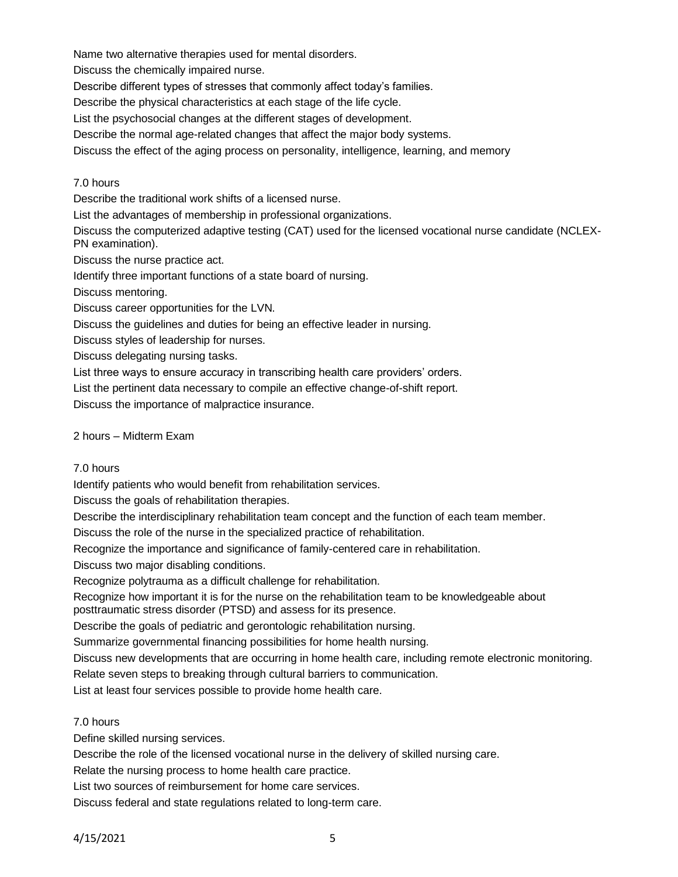Name two alternative therapies used for mental disorders.

Discuss the chemically impaired nurse.

Describe different types of stresses that commonly affect today's families.

Describe the physical characteristics at each stage of the life cycle.

List the psychosocial changes at the different stages of development.

Describe the normal age-related changes that affect the major body systems.

Discuss the effect of the aging process on personality, intelligence, learning, and memory

## 7.0 hours

Describe the traditional work shifts of a licensed nurse.

List the advantages of membership in professional organizations.

Discuss the computerized adaptive testing (CAT) used for the licensed vocational nurse candidate (NCLEX-PN examination).

Discuss the nurse practice act.

Identify three important functions of a state board of nursing.

Discuss mentoring.

Discuss career opportunities for the LVN.

Discuss the guidelines and duties for being an effective leader in nursing.

Discuss styles of leadership for nurses.

Discuss delegating nursing tasks.

List three ways to ensure accuracy in transcribing health care providers' orders.

List the pertinent data necessary to compile an effective change-of-shift report.

Discuss the importance of malpractice insurance.

# 2 hours – Midterm Exam

## 7.0 hours

Identify patients who would benefit from rehabilitation services.

Discuss the goals of rehabilitation therapies.

Describe the interdisciplinary rehabilitation team concept and the function of each team member.

Discuss the role of the nurse in the specialized practice of rehabilitation.

Recognize the importance and significance of family-centered care in rehabilitation.

Discuss two major disabling conditions.

Recognize polytrauma as a difficult challenge for rehabilitation.

Recognize how important it is for the nurse on the rehabilitation team to be knowledgeable about posttraumatic stress disorder (PTSD) and assess for its presence.

Describe the goals of pediatric and gerontologic rehabilitation nursing.

Summarize governmental financing possibilities for home health nursing.

Discuss new developments that are occurring in home health care, including remote electronic monitoring. Relate seven steps to breaking through cultural barriers to communication.

List at least four services possible to provide home health care.

## 7.0 hours

Define skilled nursing services.

Describe the role of the licensed vocational nurse in the delivery of skilled nursing care.

Relate the nursing process to home health care practice.

List two sources of reimbursement for home care services.

Discuss federal and state regulations related to long-term care.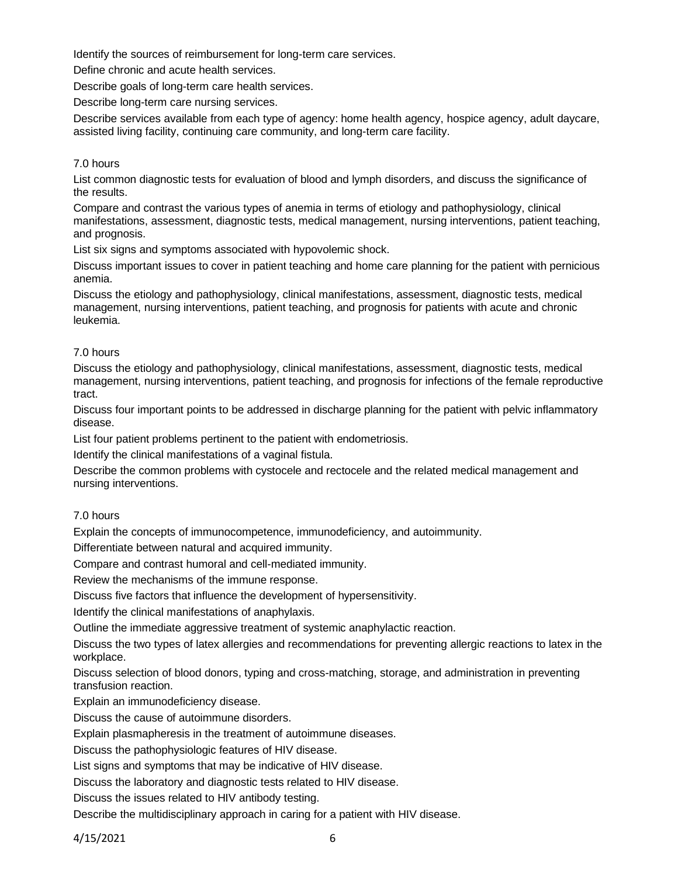Identify the sources of reimbursement for long-term care services.

Define chronic and acute health services.

Describe goals of long-term care health services.

Describe long-term care nursing services.

Describe services available from each type of agency: home health agency, hospice agency, adult daycare, assisted living facility, continuing care community, and long-term care facility.

### 7.0 hours

List common diagnostic tests for evaluation of blood and lymph disorders, and discuss the significance of the results.

Compare and contrast the various types of anemia in terms of etiology and pathophysiology, clinical manifestations, assessment, diagnostic tests, medical management, nursing interventions, patient teaching, and prognosis.

List six signs and symptoms associated with hypovolemic shock.

Discuss important issues to cover in patient teaching and home care planning for the patient with pernicious anemia.

Discuss the etiology and pathophysiology, clinical manifestations, assessment, diagnostic tests, medical management, nursing interventions, patient teaching, and prognosis for patients with acute and chronic leukemia.

#### 7.0 hours

Discuss the etiology and pathophysiology, clinical manifestations, assessment, diagnostic tests, medical management, nursing interventions, patient teaching, and prognosis for infections of the female reproductive tract.

Discuss four important points to be addressed in discharge planning for the patient with pelvic inflammatory disease.

List four patient problems pertinent to the patient with endometriosis.

Identify the clinical manifestations of a vaginal fistula.

Describe the common problems with cystocele and rectocele and the related medical management and nursing interventions.

## 7.0 hours

Explain the concepts of immunocompetence, immunodeficiency, and autoimmunity.

Differentiate between natural and acquired immunity.

Compare and contrast humoral and cell-mediated immunity.

Review the mechanisms of the immune response.

Discuss five factors that influence the development of hypersensitivity.

Identify the clinical manifestations of anaphylaxis.

Outline the immediate aggressive treatment of systemic anaphylactic reaction.

Discuss the two types of latex allergies and recommendations for preventing allergic reactions to latex in the workplace.

Discuss selection of blood donors, typing and cross-matching, storage, and administration in preventing transfusion reaction.

Explain an immunodeficiency disease.

Discuss the cause of autoimmune disorders.

Explain plasmapheresis in the treatment of autoimmune diseases.

Discuss the pathophysiologic features of HIV disease.

List signs and symptoms that may be indicative of HIV disease.

Discuss the laboratory and diagnostic tests related to HIV disease.

Discuss the issues related to HIV antibody testing.

Describe the multidisciplinary approach in caring for a patient with HIV disease.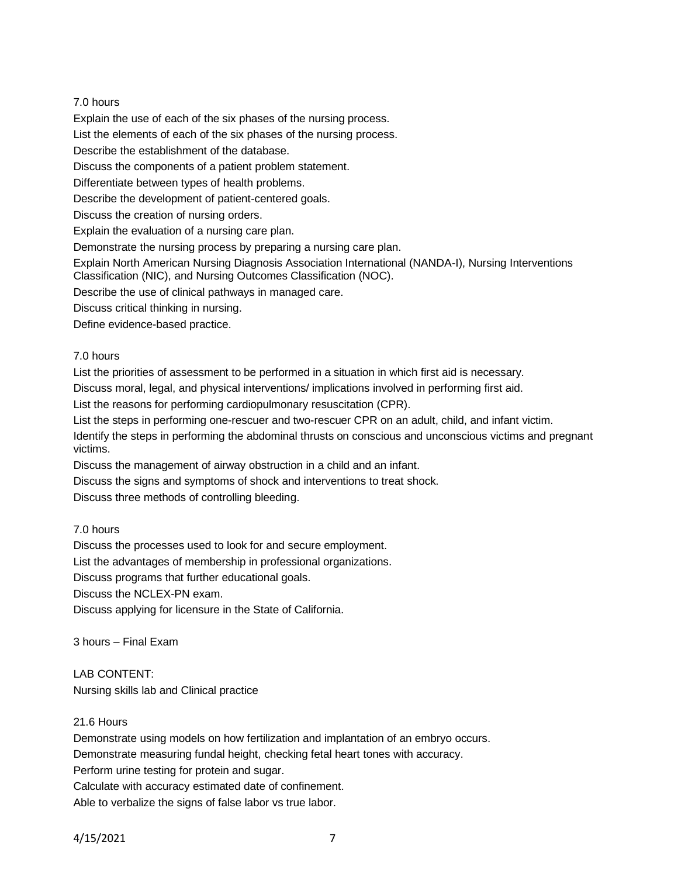# 7.0 hours

Explain the use of each of the six phases of the nursing process.

List the elements of each of the six phases of the nursing process.

Describe the establishment of the database.

Discuss the components of a patient problem statement.

Differentiate between types of health problems.

Describe the development of patient-centered goals.

Discuss the creation of nursing orders.

Explain the evaluation of a nursing care plan.

Demonstrate the nursing process by preparing a nursing care plan.

Explain North American Nursing Diagnosis Association International (NANDA-I), Nursing Interventions Classification (NIC), and Nursing Outcomes Classification (NOC).

Describe the use of clinical pathways in managed care.

Discuss critical thinking in nursing.

Define evidence-based practice.

# 7.0 hours

List the priorities of assessment to be performed in a situation in which first aid is necessary.

Discuss moral, legal, and physical interventions/ implications involved in performing first aid.

List the reasons for performing cardiopulmonary resuscitation (CPR).

List the steps in performing one-rescuer and two-rescuer CPR on an adult, child, and infant victim.

Identify the steps in performing the abdominal thrusts on conscious and unconscious victims and pregnant victims.

Discuss the management of airway obstruction in a child and an infant.

Discuss the signs and symptoms of shock and interventions to treat shock.

Discuss three methods of controlling bleeding.

# 7.0 hours

Discuss the processes used to look for and secure employment.

List the advantages of membership in professional organizations.

Discuss programs that further educational goals.

Discuss the NCLEX-PN exam.

Discuss applying for licensure in the State of California.

3 hours – Final Exam

# LAB CONTENT:

Nursing skills lab and Clinical practice

## 21.6 Hours

Demonstrate using models on how fertilization and implantation of an embryo occurs.

Demonstrate measuring fundal height, checking fetal heart tones with accuracy.

Perform urine testing for protein and sugar.

Calculate with accuracy estimated date of confinement.

Able to verbalize the signs of false labor vs true labor.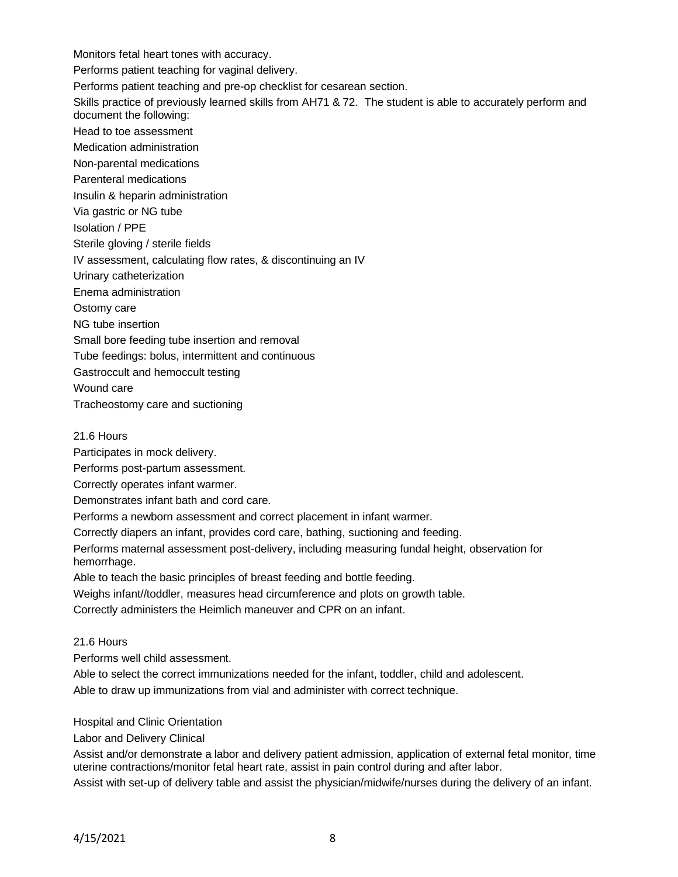Monitors fetal heart tones with accuracy. Performs patient teaching for vaginal delivery. Performs patient teaching and pre-op checklist for cesarean section. Skills practice of previously learned skills from AH71 & 72. The student is able to accurately perform and document the following: Head to toe assessment Medication administration Non-parental medications Parenteral medications Insulin & heparin administration Via gastric or NG tube Isolation / PPE Sterile gloving / sterile fields IV assessment, calculating flow rates, & discontinuing an IV Urinary catheterization Enema administration Ostomy care NG tube insertion Small bore feeding tube insertion and removal Tube feedings: bolus, intermittent and continuous Gastroccult and hemoccult testing Wound care Tracheostomy care and suctioning 21.6 Hours

Participates in mock delivery.

Performs post-partum assessment.

Correctly operates infant warmer.

Demonstrates infant bath and cord care.

Performs a newborn assessment and correct placement in infant warmer.

Correctly diapers an infant, provides cord care, bathing, suctioning and feeding.

Performs maternal assessment post-delivery, including measuring fundal height, observation for hemorrhage.

Able to teach the basic principles of breast feeding and bottle feeding.

Weighs infant//toddler, measures head circumference and plots on growth table.

Correctly administers the Heimlich maneuver and CPR on an infant.

## 21.6 Hours

Performs well child assessment.

Able to select the correct immunizations needed for the infant, toddler, child and adolescent.

Able to draw up immunizations from vial and administer with correct technique.

Hospital and Clinic Orientation

Labor and Delivery Clinical

Assist and/or demonstrate a labor and delivery patient admission, application of external fetal monitor, time uterine contractions/monitor fetal heart rate, assist in pain control during and after labor.

Assist with set-up of delivery table and assist the physician/midwife/nurses during the delivery of an infant.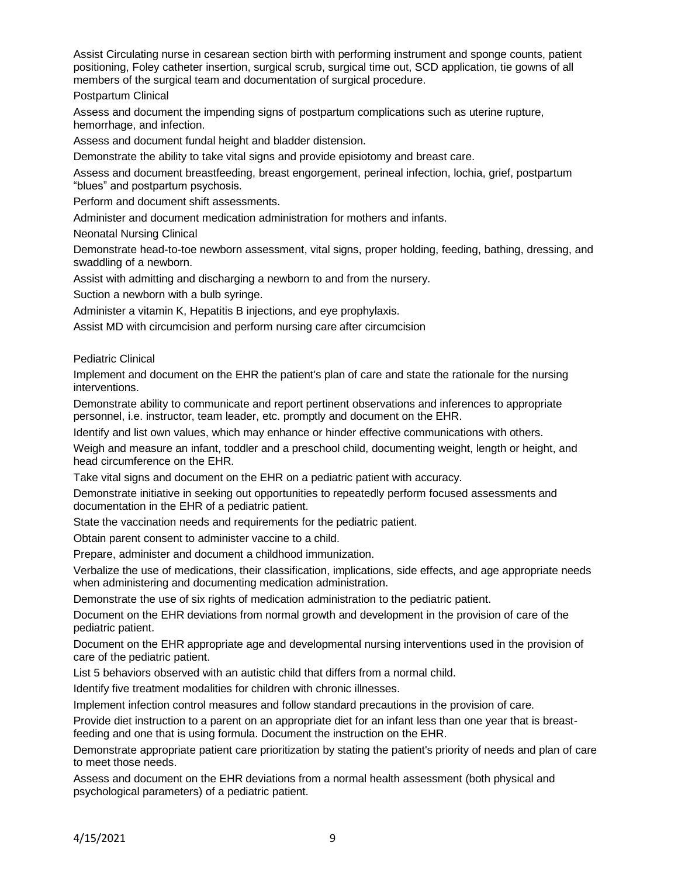Assist Circulating nurse in cesarean section birth with performing instrument and sponge counts, patient positioning, Foley catheter insertion, surgical scrub, surgical time out, SCD application, tie gowns of all members of the surgical team and documentation of surgical procedure.

Postpartum Clinical

Assess and document the impending signs of postpartum complications such as uterine rupture, hemorrhage, and infection.

Assess and document fundal height and bladder distension.

Demonstrate the ability to take vital signs and provide episiotomy and breast care.

Assess and document breastfeeding, breast engorgement, perineal infection, lochia, grief, postpartum "blues" and postpartum psychosis.

Perform and document shift assessments.

Administer and document medication administration for mothers and infants.

Neonatal Nursing Clinical

Demonstrate head-to-toe newborn assessment, vital signs, proper holding, feeding, bathing, dressing, and swaddling of a newborn.

Assist with admitting and discharging a newborn to and from the nursery.

Suction a newborn with a bulb syringe.

Administer a vitamin K, Hepatitis B injections, and eye prophylaxis.

Assist MD with circumcision and perform nursing care after circumcision

Pediatric Clinical

Implement and document on the EHR the patient's plan of care and state the rationale for the nursing interventions.

Demonstrate ability to communicate and report pertinent observations and inferences to appropriate personnel, i.e. instructor, team leader, etc. promptly and document on the EHR.

Identify and list own values, which may enhance or hinder effective communications with others.

Weigh and measure an infant, toddler and a preschool child, documenting weight, length or height, and head circumference on the EHR.

Take vital signs and document on the EHR on a pediatric patient with accuracy.

Demonstrate initiative in seeking out opportunities to repeatedly perform focused assessments and documentation in the EHR of a pediatric patient.

State the vaccination needs and requirements for the pediatric patient.

Obtain parent consent to administer vaccine to a child.

Prepare, administer and document a childhood immunization.

Verbalize the use of medications, their classification, implications, side effects, and age appropriate needs when administering and documenting medication administration.

Demonstrate the use of six rights of medication administration to the pediatric patient.

Document on the EHR deviations from normal growth and development in the provision of care of the pediatric patient.

Document on the EHR appropriate age and developmental nursing interventions used in the provision of care of the pediatric patient.

List 5 behaviors observed with an autistic child that differs from a normal child.

Identify five treatment modalities for children with chronic illnesses.

Implement infection control measures and follow standard precautions in the provision of care.

Provide diet instruction to a parent on an appropriate diet for an infant less than one year that is breastfeeding and one that is using formula. Document the instruction on the EHR.

Demonstrate appropriate patient care prioritization by stating the patient's priority of needs and plan of care to meet those needs.

Assess and document on the EHR deviations from a normal health assessment (both physical and psychological parameters) of a pediatric patient.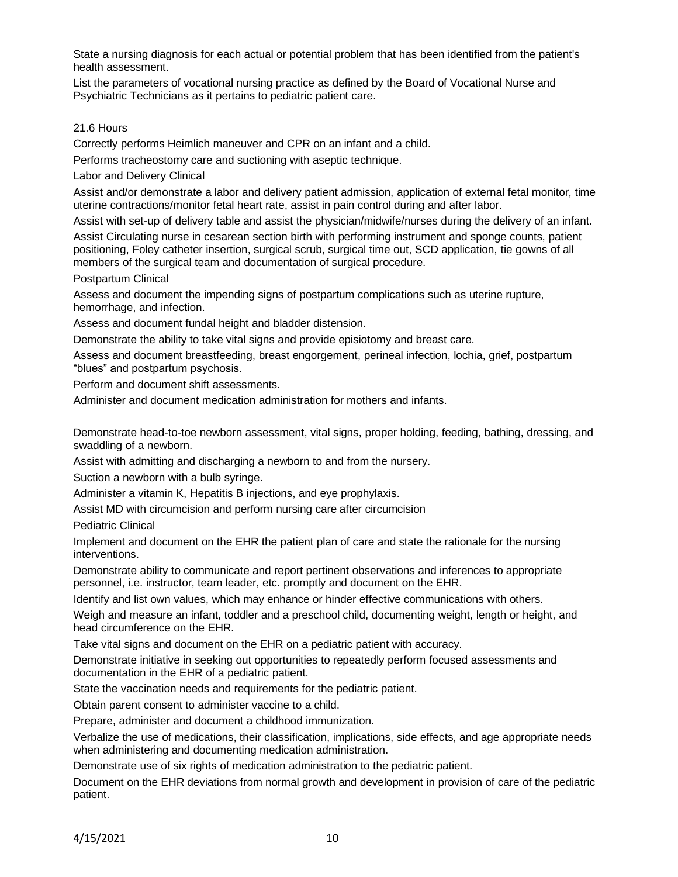State a nursing diagnosis for each actual or potential problem that has been identified from the patient's health assessment.

List the parameters of vocational nursing practice as defined by the Board of Vocational Nurse and Psychiatric Technicians as it pertains to pediatric patient care.

### 21.6 Hours

Correctly performs Heimlich maneuver and CPR on an infant and a child.

Performs tracheostomy care and suctioning with aseptic technique.

Labor and Delivery Clinical

Assist and/or demonstrate a labor and delivery patient admission, application of external fetal monitor, time uterine contractions/monitor fetal heart rate, assist in pain control during and after labor.

Assist with set-up of delivery table and assist the physician/midwife/nurses during the delivery of an infant.

Assist Circulating nurse in cesarean section birth with performing instrument and sponge counts, patient positioning, Foley catheter insertion, surgical scrub, surgical time out, SCD application, tie gowns of all members of the surgical team and documentation of surgical procedure.

Postpartum Clinical

Assess and document the impending signs of postpartum complications such as uterine rupture, hemorrhage, and infection.

Assess and document fundal height and bladder distension.

Demonstrate the ability to take vital signs and provide episiotomy and breast care.

Assess and document breastfeeding, breast engorgement, perineal infection, lochia, grief, postpartum "blues" and postpartum psychosis.

Perform and document shift assessments.

Administer and document medication administration for mothers and infants.

Demonstrate head-to-toe newborn assessment, vital signs, proper holding, feeding, bathing, dressing, and swaddling of a newborn.

Assist with admitting and discharging a newborn to and from the nursery.

Suction a newborn with a bulb syringe.

Administer a vitamin K, Hepatitis B injections, and eye prophylaxis.

Assist MD with circumcision and perform nursing care after circumcision

Pediatric Clinical

Implement and document on the EHR the patient plan of care and state the rationale for the nursing interventions.

Demonstrate ability to communicate and report pertinent observations and inferences to appropriate personnel, i.e. instructor, team leader, etc. promptly and document on the EHR.

Identify and list own values, which may enhance or hinder effective communications with others.

Weigh and measure an infant, toddler and a preschool child, documenting weight, length or height, and head circumference on the EHR.

Take vital signs and document on the EHR on a pediatric patient with accuracy.

Demonstrate initiative in seeking out opportunities to repeatedly perform focused assessments and documentation in the EHR of a pediatric patient.

State the vaccination needs and requirements for the pediatric patient.

Obtain parent consent to administer vaccine to a child.

Prepare, administer and document a childhood immunization.

Verbalize the use of medications, their classification, implications, side effects, and age appropriate needs when administering and documenting medication administration.

Demonstrate use of six rights of medication administration to the pediatric patient.

Document on the EHR deviations from normal growth and development in provision of care of the pediatric patient.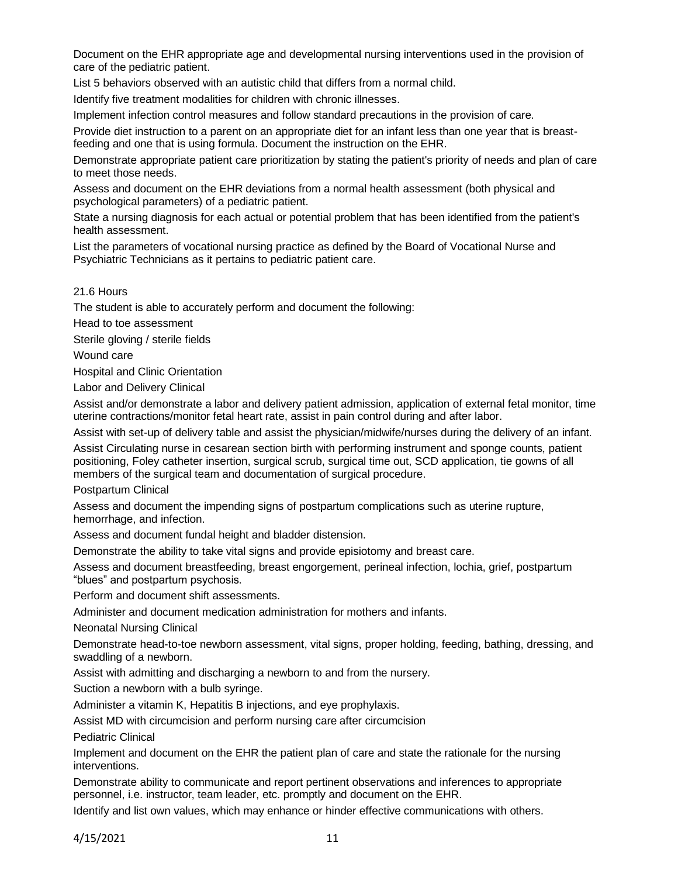Document on the EHR appropriate age and developmental nursing interventions used in the provision of care of the pediatric patient.

List 5 behaviors observed with an autistic child that differs from a normal child.

Identify five treatment modalities for children with chronic illnesses.

Implement infection control measures and follow standard precautions in the provision of care.

Provide diet instruction to a parent on an appropriate diet for an infant less than one year that is breastfeeding and one that is using formula. Document the instruction on the EHR.

Demonstrate appropriate patient care prioritization by stating the patient's priority of needs and plan of care to meet those needs.

Assess and document on the EHR deviations from a normal health assessment (both physical and psychological parameters) of a pediatric patient.

State a nursing diagnosis for each actual or potential problem that has been identified from the patient's health assessment.

List the parameters of vocational nursing practice as defined by the Board of Vocational Nurse and Psychiatric Technicians as it pertains to pediatric patient care.

#### 21.6 Hours

The student is able to accurately perform and document the following:

Head to toe assessment

Sterile gloving / sterile fields

Wound care

Hospital and Clinic Orientation

Labor and Delivery Clinical

Assist and/or demonstrate a labor and delivery patient admission, application of external fetal monitor, time uterine contractions/monitor fetal heart rate, assist in pain control during and after labor.

Assist with set-up of delivery table and assist the physician/midwife/nurses during the delivery of an infant.

Assist Circulating nurse in cesarean section birth with performing instrument and sponge counts, patient positioning, Foley catheter insertion, surgical scrub, surgical time out, SCD application, tie gowns of all members of the surgical team and documentation of surgical procedure.

Postpartum Clinical

Assess and document the impending signs of postpartum complications such as uterine rupture, hemorrhage, and infection.

Assess and document fundal height and bladder distension.

Demonstrate the ability to take vital signs and provide episiotomy and breast care.

Assess and document breastfeeding, breast engorgement, perineal infection, lochia, grief, postpartum "blues" and postpartum psychosis.

Perform and document shift assessments.

Administer and document medication administration for mothers and infants.

Neonatal Nursing Clinical

Demonstrate head-to-toe newborn assessment, vital signs, proper holding, feeding, bathing, dressing, and swaddling of a newborn.

Assist with admitting and discharging a newborn to and from the nursery.

Suction a newborn with a bulb syringe.

Administer a vitamin K, Hepatitis B injections, and eye prophylaxis.

Assist MD with circumcision and perform nursing care after circumcision

Pediatric Clinical

Implement and document on the EHR the patient plan of care and state the rationale for the nursing interventions.

Demonstrate ability to communicate and report pertinent observations and inferences to appropriate personnel, i.e. instructor, team leader, etc. promptly and document on the EHR.

Identify and list own values, which may enhance or hinder effective communications with others.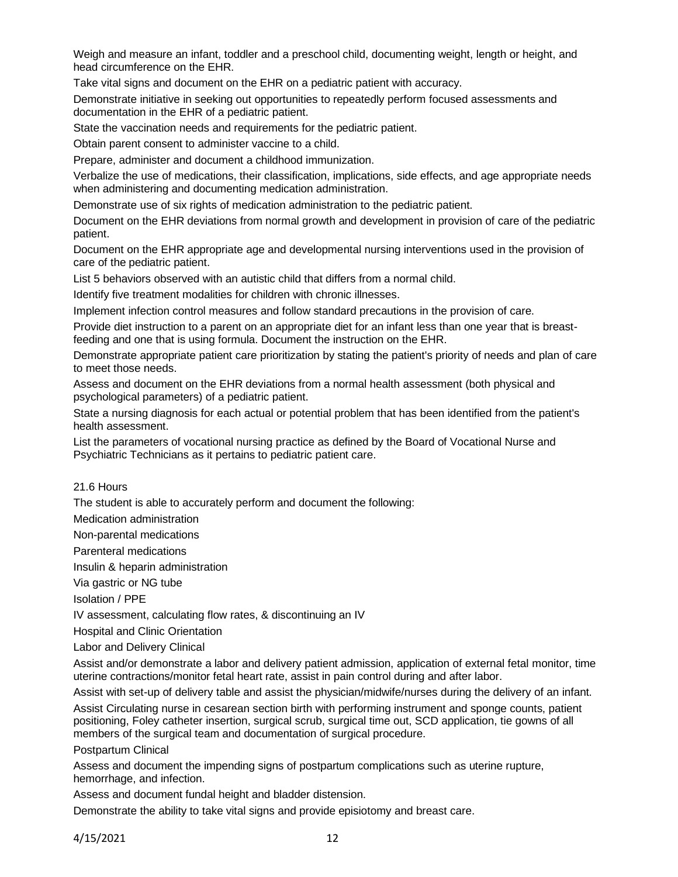Weigh and measure an infant, toddler and a preschool child, documenting weight, length or height, and head circumference on the EHR.

Take vital signs and document on the EHR on a pediatric patient with accuracy.

Demonstrate initiative in seeking out opportunities to repeatedly perform focused assessments and documentation in the EHR of a pediatric patient.

State the vaccination needs and requirements for the pediatric patient.

Obtain parent consent to administer vaccine to a child.

Prepare, administer and document a childhood immunization.

Verbalize the use of medications, their classification, implications, side effects, and age appropriate needs when administering and documenting medication administration.

Demonstrate use of six rights of medication administration to the pediatric patient.

Document on the EHR deviations from normal growth and development in provision of care of the pediatric patient.

Document on the EHR appropriate age and developmental nursing interventions used in the provision of care of the pediatric patient.

List 5 behaviors observed with an autistic child that differs from a normal child.

Identify five treatment modalities for children with chronic illnesses.

Implement infection control measures and follow standard precautions in the provision of care.

Provide diet instruction to a parent on an appropriate diet for an infant less than one year that is breastfeeding and one that is using formula. Document the instruction on the EHR.

Demonstrate appropriate patient care prioritization by stating the patient's priority of needs and plan of care to meet those needs.

Assess and document on the EHR deviations from a normal health assessment (both physical and psychological parameters) of a pediatric patient.

State a nursing diagnosis for each actual or potential problem that has been identified from the patient's health assessment.

List the parameters of vocational nursing practice as defined by the Board of Vocational Nurse and Psychiatric Technicians as it pertains to pediatric patient care.

#### 21.6 Hours

The student is able to accurately perform and document the following:

Medication administration

Non-parental medications

Parenteral medications

Insulin & heparin administration

Via gastric or NG tube

Isolation / PPE

IV assessment, calculating flow rates, & discontinuing an IV

Hospital and Clinic Orientation

Labor and Delivery Clinical

Assist and/or demonstrate a labor and delivery patient admission, application of external fetal monitor, time uterine contractions/monitor fetal heart rate, assist in pain control during and after labor.

Assist with set-up of delivery table and assist the physician/midwife/nurses during the delivery of an infant.

Assist Circulating nurse in cesarean section birth with performing instrument and sponge counts, patient positioning, Foley catheter insertion, surgical scrub, surgical time out, SCD application, tie gowns of all members of the surgical team and documentation of surgical procedure.

Postpartum Clinical

Assess and document the impending signs of postpartum complications such as uterine rupture, hemorrhage, and infection.

Assess and document fundal height and bladder distension.

Demonstrate the ability to take vital signs and provide episiotomy and breast care.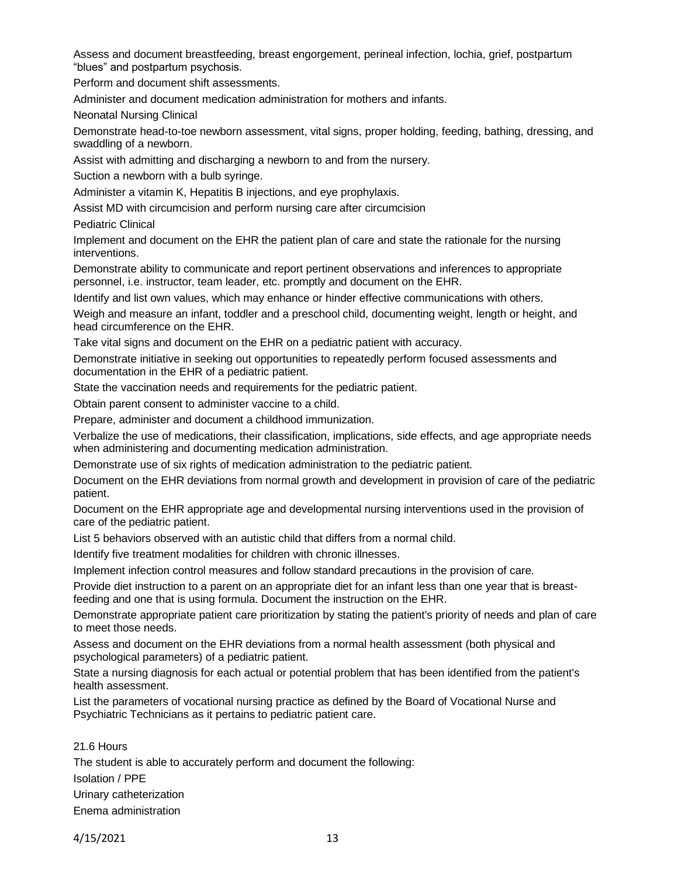Assess and document breastfeeding, breast engorgement, perineal infection, lochia, grief, postpartum "blues" and postpartum psychosis.

Perform and document shift assessments.

Administer and document medication administration for mothers and infants.

Neonatal Nursing Clinical

Demonstrate head-to-toe newborn assessment, vital signs, proper holding, feeding, bathing, dressing, and swaddling of a newborn.

Assist with admitting and discharging a newborn to and from the nursery.

Suction a newborn with a bulb syringe.

Administer a vitamin K, Hepatitis B injections, and eye prophylaxis.

Assist MD with circumcision and perform nursing care after circumcision

Pediatric Clinical

Implement and document on the EHR the patient plan of care and state the rationale for the nursing interventions.

Demonstrate ability to communicate and report pertinent observations and inferences to appropriate personnel, i.e. instructor, team leader, etc. promptly and document on the EHR.

Identify and list own values, which may enhance or hinder effective communications with others.

Weigh and measure an infant, toddler and a preschool child, documenting weight, length or height, and head circumference on the EHR.

Take vital signs and document on the EHR on a pediatric patient with accuracy.

Demonstrate initiative in seeking out opportunities to repeatedly perform focused assessments and documentation in the EHR of a pediatric patient.

State the vaccination needs and requirements for the pediatric patient.

Obtain parent consent to administer vaccine to a child.

Prepare, administer and document a childhood immunization.

Verbalize the use of medications, their classification, implications, side effects, and age appropriate needs when administering and documenting medication administration.

Demonstrate use of six rights of medication administration to the pediatric patient.

Document on the EHR deviations from normal growth and development in provision of care of the pediatric patient.

Document on the EHR appropriate age and developmental nursing interventions used in the provision of care of the pediatric patient.

List 5 behaviors observed with an autistic child that differs from a normal child.

Identify five treatment modalities for children with chronic illnesses.

Implement infection control measures and follow standard precautions in the provision of care.

Provide diet instruction to a parent on an appropriate diet for an infant less than one year that is breastfeeding and one that is using formula. Document the instruction on the EHR.

Demonstrate appropriate patient care prioritization by stating the patient's priority of needs and plan of care to meet those needs.

Assess and document on the EHR deviations from a normal health assessment (both physical and psychological parameters) of a pediatric patient.

State a nursing diagnosis for each actual or potential problem that has been identified from the patient's health assessment.

List the parameters of vocational nursing practice as defined by the Board of Vocational Nurse and Psychiatric Technicians as it pertains to pediatric patient care.

21.6 Hours The student is able to accurately perform and document the following: Isolation / PPE Urinary catheterization Enema administration

4/15/2021 13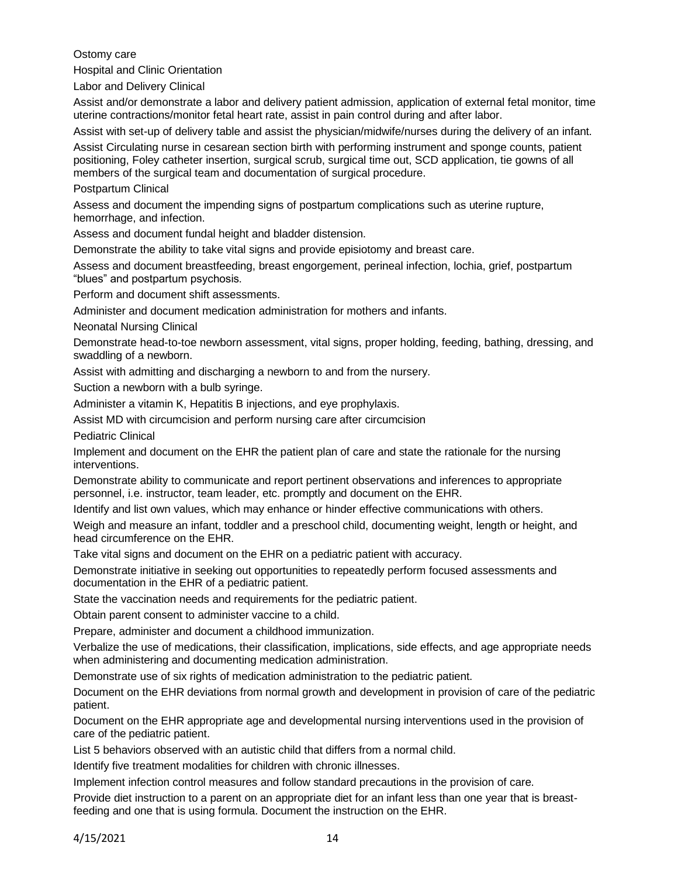Ostomy care

Hospital and Clinic Orientation

Labor and Delivery Clinical

Assist and/or demonstrate a labor and delivery patient admission, application of external fetal monitor, time uterine contractions/monitor fetal heart rate, assist in pain control during and after labor.

Assist with set-up of delivery table and assist the physician/midwife/nurses during the delivery of an infant.

Assist Circulating nurse in cesarean section birth with performing instrument and sponge counts, patient positioning, Foley catheter insertion, surgical scrub, surgical time out, SCD application, tie gowns of all members of the surgical team and documentation of surgical procedure.

Postpartum Clinical

Assess and document the impending signs of postpartum complications such as uterine rupture, hemorrhage, and infection.

Assess and document fundal height and bladder distension.

Demonstrate the ability to take vital signs and provide episiotomy and breast care.

Assess and document breastfeeding, breast engorgement, perineal infection, lochia, grief, postpartum "blues" and postpartum psychosis.

Perform and document shift assessments.

Administer and document medication administration for mothers and infants.

Neonatal Nursing Clinical

Demonstrate head-to-toe newborn assessment, vital signs, proper holding, feeding, bathing, dressing, and swaddling of a newborn.

Assist with admitting and discharging a newborn to and from the nursery.

Suction a newborn with a bulb syringe.

Administer a vitamin K, Hepatitis B injections, and eye prophylaxis.

Assist MD with circumcision and perform nursing care after circumcision

Pediatric Clinical

Implement and document on the EHR the patient plan of care and state the rationale for the nursing interventions.

Demonstrate ability to communicate and report pertinent observations and inferences to appropriate personnel, i.e. instructor, team leader, etc. promptly and document on the EHR.

Identify and list own values, which may enhance or hinder effective communications with others.

Weigh and measure an infant, toddler and a preschool child, documenting weight, length or height, and head circumference on the EHR.

Take vital signs and document on the EHR on a pediatric patient with accuracy.

Demonstrate initiative in seeking out opportunities to repeatedly perform focused assessments and documentation in the EHR of a pediatric patient.

State the vaccination needs and requirements for the pediatric patient.

Obtain parent consent to administer vaccine to a child.

Prepare, administer and document a childhood immunization.

Verbalize the use of medications, their classification, implications, side effects, and age appropriate needs when administering and documenting medication administration.

Demonstrate use of six rights of medication administration to the pediatric patient.

Document on the EHR deviations from normal growth and development in provision of care of the pediatric patient.

Document on the EHR appropriate age and developmental nursing interventions used in the provision of care of the pediatric patient.

List 5 behaviors observed with an autistic child that differs from a normal child.

Identify five treatment modalities for children with chronic illnesses.

Implement infection control measures and follow standard precautions in the provision of care.

Provide diet instruction to a parent on an appropriate diet for an infant less than one year that is breastfeeding and one that is using formula. Document the instruction on the EHR.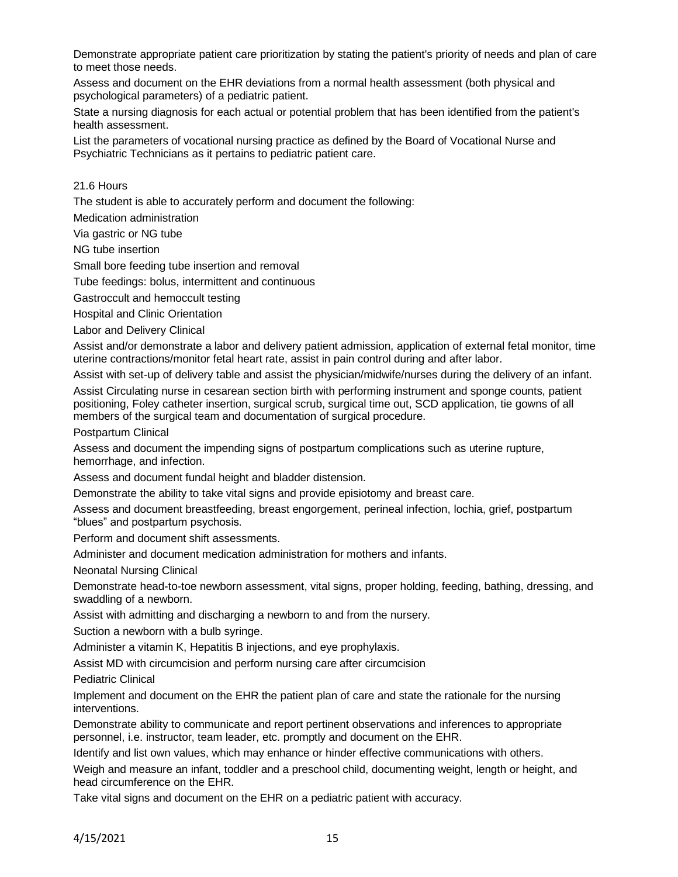Demonstrate appropriate patient care prioritization by stating the patient's priority of needs and plan of care to meet those needs.

Assess and document on the EHR deviations from a normal health assessment (both physical and psychological parameters) of a pediatric patient.

State a nursing diagnosis for each actual or potential problem that has been identified from the patient's health assessment.

List the parameters of vocational nursing practice as defined by the Board of Vocational Nurse and Psychiatric Technicians as it pertains to pediatric patient care.

21.6 Hours

The student is able to accurately perform and document the following:

Medication administration

Via gastric or NG tube

NG tube insertion

Small bore feeding tube insertion and removal

Tube feedings: bolus, intermittent and continuous

Gastroccult and hemoccult testing

Hospital and Clinic Orientation

Labor and Delivery Clinical

Assist and/or demonstrate a labor and delivery patient admission, application of external fetal monitor, time uterine contractions/monitor fetal heart rate, assist in pain control during and after labor.

Assist with set-up of delivery table and assist the physician/midwife/nurses during the delivery of an infant.

Assist Circulating nurse in cesarean section birth with performing instrument and sponge counts, patient positioning, Foley catheter insertion, surgical scrub, surgical time out, SCD application, tie gowns of all members of the surgical team and documentation of surgical procedure.

Postpartum Clinical

Assess and document the impending signs of postpartum complications such as uterine rupture, hemorrhage, and infection.

Assess and document fundal height and bladder distension.

Demonstrate the ability to take vital signs and provide episiotomy and breast care.

Assess and document breastfeeding, breast engorgement, perineal infection, lochia, grief, postpartum "blues" and postpartum psychosis.

Perform and document shift assessments.

Administer and document medication administration for mothers and infants.

Neonatal Nursing Clinical

Demonstrate head-to-toe newborn assessment, vital signs, proper holding, feeding, bathing, dressing, and swaddling of a newborn.

Assist with admitting and discharging a newborn to and from the nursery.

Suction a newborn with a bulb syringe.

Administer a vitamin K, Hepatitis B injections, and eye prophylaxis.

Assist MD with circumcision and perform nursing care after circumcision

Pediatric Clinical

Implement and document on the EHR the patient plan of care and state the rationale for the nursing interventions.

Demonstrate ability to communicate and report pertinent observations and inferences to appropriate personnel, i.e. instructor, team leader, etc. promptly and document on the EHR.

Identify and list own values, which may enhance or hinder effective communications with others.

Weigh and measure an infant, toddler and a preschool child, documenting weight, length or height, and head circumference on the EHR.

Take vital signs and document on the EHR on a pediatric patient with accuracy.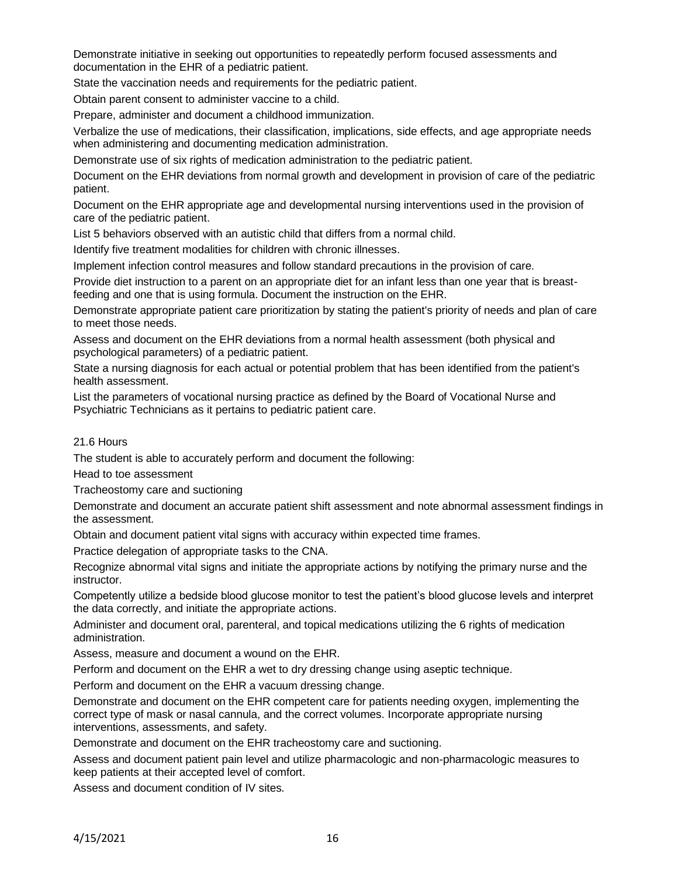Demonstrate initiative in seeking out opportunities to repeatedly perform focused assessments and documentation in the EHR of a pediatric patient.

State the vaccination needs and requirements for the pediatric patient.

Obtain parent consent to administer vaccine to a child.

Prepare, administer and document a childhood immunization.

Verbalize the use of medications, their classification, implications, side effects, and age appropriate needs when administering and documenting medication administration.

Demonstrate use of six rights of medication administration to the pediatric patient.

Document on the EHR deviations from normal growth and development in provision of care of the pediatric patient.

Document on the EHR appropriate age and developmental nursing interventions used in the provision of care of the pediatric patient.

List 5 behaviors observed with an autistic child that differs from a normal child.

Identify five treatment modalities for children with chronic illnesses.

Implement infection control measures and follow standard precautions in the provision of care.

Provide diet instruction to a parent on an appropriate diet for an infant less than one year that is breastfeeding and one that is using formula. Document the instruction on the EHR.

Demonstrate appropriate patient care prioritization by stating the patient's priority of needs and plan of care to meet those needs.

Assess and document on the EHR deviations from a normal health assessment (both physical and psychological parameters) of a pediatric patient.

State a nursing diagnosis for each actual or potential problem that has been identified from the patient's health assessment.

List the parameters of vocational nursing practice as defined by the Board of Vocational Nurse and Psychiatric Technicians as it pertains to pediatric patient care.

#### 21.6 Hours

The student is able to accurately perform and document the following:

Head to toe assessment

Tracheostomy care and suctioning

Demonstrate and document an accurate patient shift assessment and note abnormal assessment findings in the assessment.

Obtain and document patient vital signs with accuracy within expected time frames.

Practice delegation of appropriate tasks to the CNA.

Recognize abnormal vital signs and initiate the appropriate actions by notifying the primary nurse and the instructor.

Competently utilize a bedside blood glucose monitor to test the patient's blood glucose levels and interpret the data correctly, and initiate the appropriate actions.

Administer and document oral, parenteral, and topical medications utilizing the 6 rights of medication administration.

Assess, measure and document a wound on the EHR.

Perform and document on the EHR a wet to dry dressing change using aseptic technique.

Perform and document on the EHR a vacuum dressing change.

Demonstrate and document on the EHR competent care for patients needing oxygen, implementing the correct type of mask or nasal cannula, and the correct volumes. Incorporate appropriate nursing interventions, assessments, and safety.

Demonstrate and document on the EHR tracheostomy care and suctioning.

Assess and document patient pain level and utilize pharmacologic and non-pharmacologic measures to keep patients at their accepted level of comfort.

Assess and document condition of IV sites.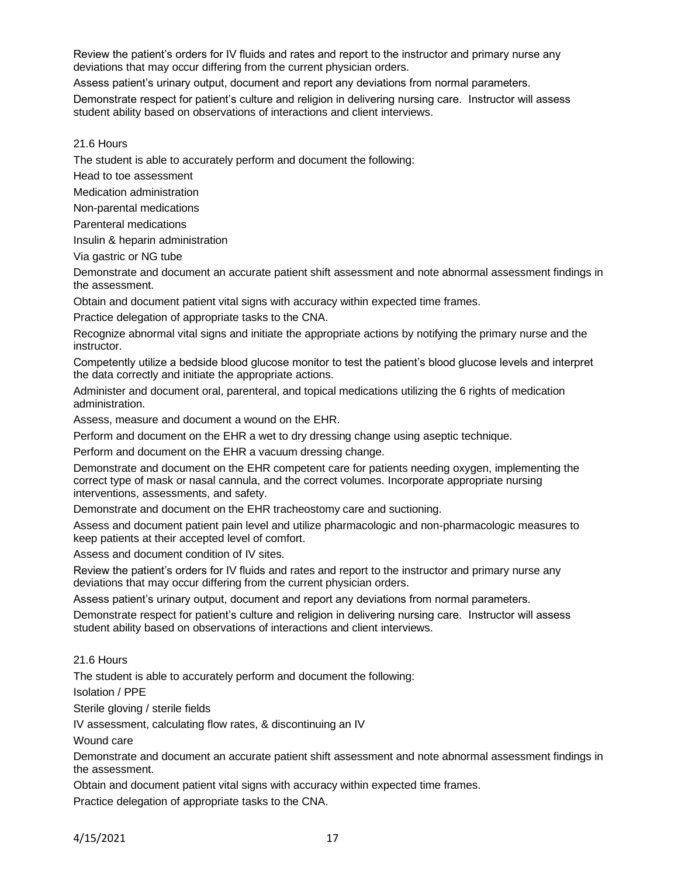Review the patient's orders for IV fluids and rates and report to the instructor and primary nurse any deviations that may occur differing from the current physician orders.

Assess patient's urinary output, document and report any deviations from normal parameters.

Demonstrate respect for patient's culture and religion in delivering nursing care. Instructor will assess student ability based on observations of interactions and client interviews.

21.6 Hours

The student is able to accurately perform and document the following:

Head to toe assessment

Medication administration

Non-parental medications

Parenteral medications

Insulin & heparin administration

Via gastric or NG tube

Demonstrate and document an accurate patient shift assessment and note abnormal assessment findings in the assessment.

Obtain and document patient vital signs with accuracy within expected time frames.

Practice delegation of appropriate tasks to the CNA.

Recognize abnormal vital signs and initiate the appropriate actions by notifying the primary nurse and the instructor.

Competently utilize a bedside blood glucose monitor to test the patient's blood glucose levels and interpret the data correctly and initiate the appropriate actions.

Administer and document oral, parenteral, and topical medications utilizing the 6 rights of medication administration.

Assess, measure and document a wound on the EHR.

Perform and document on the EHR a wet to dry dressing change using aseptic technique.

Perform and document on the EHR a vacuum dressing change.

Demonstrate and document on the EHR competent care for patients needing oxygen, implementing the correct type of mask or nasal cannula, and the correct volumes. Incorporate appropriate nursing interventions, assessments, and safety.

Demonstrate and document on the EHR tracheostomy care and suctioning.

Assess and document patient pain level and utilize pharmacologic and non-pharmacologic measures to keep patients at their accepted level of comfort.

Assess and document condition of IV sites.

Review the patient's orders for IV fluids and rates and report to the instructor and primary nurse any deviations that may occur differing from the current physician orders.

Assess patient's urinary output, document and report any deviations from normal parameters.

Demonstrate respect for patient's culture and religion in delivering nursing care. Instructor will assess student ability based on observations of interactions and client interviews.

21.6 Hours

The student is able to accurately perform and document the following:

Isolation / PPE

Sterile gloving / sterile fields

IV assessment, calculating flow rates, & discontinuing an IV

Wound care

Demonstrate and document an accurate patient shift assessment and note abnormal assessment findings in the assessment.

Obtain and document patient vital signs with accuracy within expected time frames.

Practice delegation of appropriate tasks to the CNA.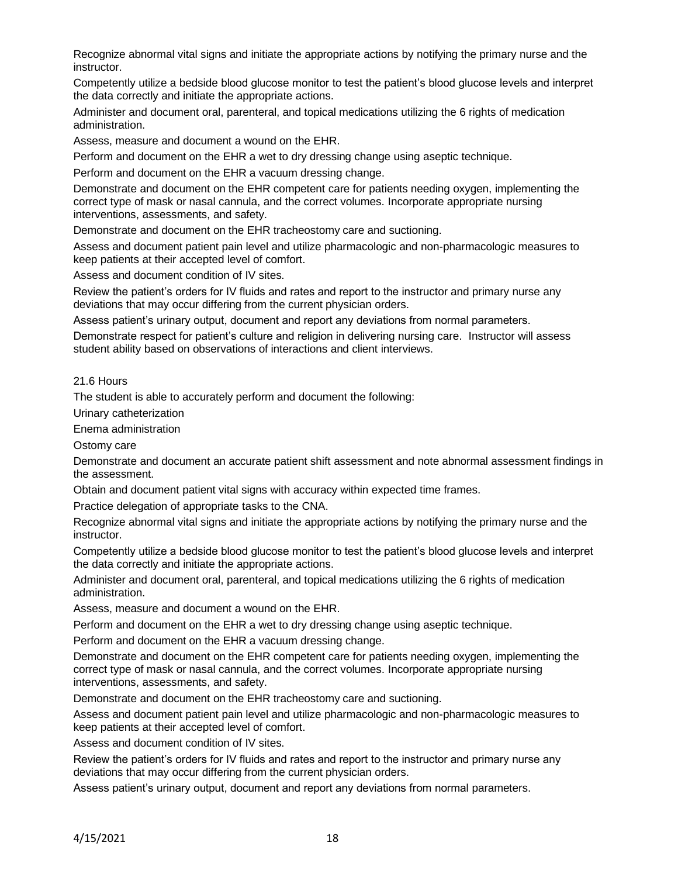Recognize abnormal vital signs and initiate the appropriate actions by notifying the primary nurse and the instructor.

Competently utilize a bedside blood glucose monitor to test the patient's blood glucose levels and interpret the data correctly and initiate the appropriate actions.

Administer and document oral, parenteral, and topical medications utilizing the 6 rights of medication administration.

Assess, measure and document a wound on the EHR.

Perform and document on the EHR a wet to dry dressing change using aseptic technique.

Perform and document on the EHR a vacuum dressing change.

Demonstrate and document on the EHR competent care for patients needing oxygen, implementing the correct type of mask or nasal cannula, and the correct volumes. Incorporate appropriate nursing interventions, assessments, and safety.

Demonstrate and document on the EHR tracheostomy care and suctioning.

Assess and document patient pain level and utilize pharmacologic and non-pharmacologic measures to keep patients at their accepted level of comfort.

Assess and document condition of IV sites.

Review the patient's orders for IV fluids and rates and report to the instructor and primary nurse any deviations that may occur differing from the current physician orders.

Assess patient's urinary output, document and report any deviations from normal parameters.

Demonstrate respect for patient's culture and religion in delivering nursing care. Instructor will assess student ability based on observations of interactions and client interviews.

#### 21.6 Hours

The student is able to accurately perform and document the following:

Urinary catheterization

Enema administration

Ostomy care

Demonstrate and document an accurate patient shift assessment and note abnormal assessment findings in the assessment.

Obtain and document patient vital signs with accuracy within expected time frames.

Practice delegation of appropriate tasks to the CNA.

Recognize abnormal vital signs and initiate the appropriate actions by notifying the primary nurse and the instructor.

Competently utilize a bedside blood glucose monitor to test the patient's blood glucose levels and interpret the data correctly and initiate the appropriate actions.

Administer and document oral, parenteral, and topical medications utilizing the 6 rights of medication administration.

Assess, measure and document a wound on the EHR.

Perform and document on the EHR a wet to dry dressing change using aseptic technique.

Perform and document on the EHR a vacuum dressing change.

Demonstrate and document on the EHR competent care for patients needing oxygen, implementing the correct type of mask or nasal cannula, and the correct volumes. Incorporate appropriate nursing interventions, assessments, and safety.

Demonstrate and document on the EHR tracheostomy care and suctioning.

Assess and document patient pain level and utilize pharmacologic and non-pharmacologic measures to keep patients at their accepted level of comfort.

Assess and document condition of IV sites.

Review the patient's orders for IV fluids and rates and report to the instructor and primary nurse any deviations that may occur differing from the current physician orders.

Assess patient's urinary output, document and report any deviations from normal parameters.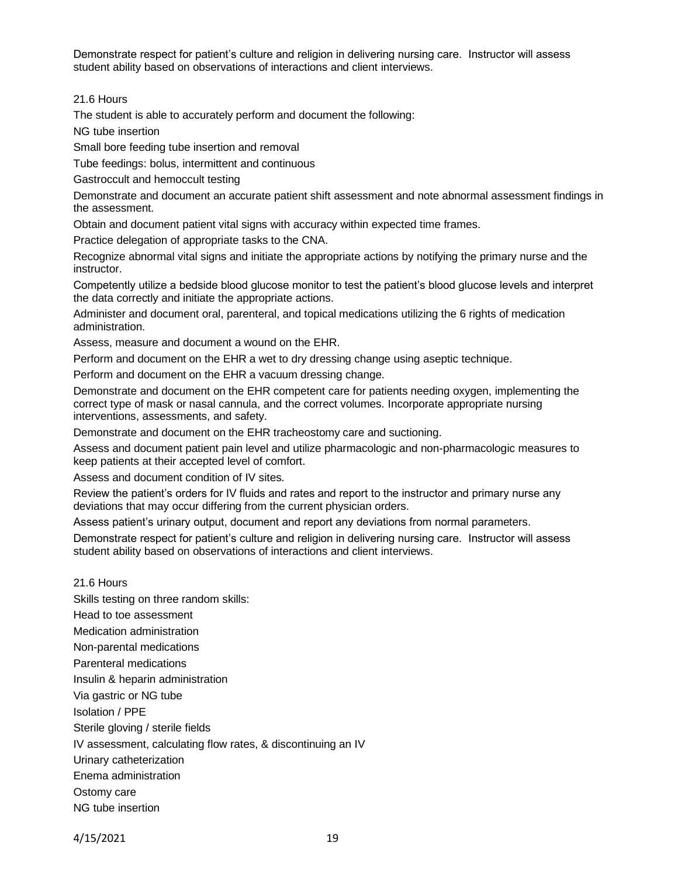Demonstrate respect for patient's culture and religion in delivering nursing care. Instructor will assess student ability based on observations of interactions and client interviews.

21.6 Hours

The student is able to accurately perform and document the following:

NG tube insertion

Small bore feeding tube insertion and removal

Tube feedings: bolus, intermittent and continuous

Gastroccult and hemoccult testing

Demonstrate and document an accurate patient shift assessment and note abnormal assessment findings in the assessment.

Obtain and document patient vital signs with accuracy within expected time frames.

Practice delegation of appropriate tasks to the CNA.

Recognize abnormal vital signs and initiate the appropriate actions by notifying the primary nurse and the instructor.

Competently utilize a bedside blood glucose monitor to test the patient's blood glucose levels and interpret the data correctly and initiate the appropriate actions.

Administer and document oral, parenteral, and topical medications utilizing the 6 rights of medication administration.

Assess, measure and document a wound on the EHR.

Perform and document on the EHR a wet to dry dressing change using aseptic technique.

Perform and document on the EHR a vacuum dressing change.

Demonstrate and document on the EHR competent care for patients needing oxygen, implementing the correct type of mask or nasal cannula, and the correct volumes. Incorporate appropriate nursing interventions, assessments, and safety.

Demonstrate and document on the EHR tracheostomy care and suctioning.

Assess and document patient pain level and utilize pharmacologic and non-pharmacologic measures to keep patients at their accepted level of comfort.

Assess and document condition of IV sites.

Review the patient's orders for IV fluids and rates and report to the instructor and primary nurse any deviations that may occur differing from the current physician orders.

Assess patient's urinary output, document and report any deviations from normal parameters.

Demonstrate respect for patient's culture and religion in delivering nursing care. Instructor will assess student ability based on observations of interactions and client interviews.

# 21.6 Hours

Skills testing on three random skills: Head to toe assessment Medication administration Non-parental medications Parenteral medications Insulin & heparin administration Via gastric or NG tube Isolation / PPE Sterile gloving / sterile fields IV assessment, calculating flow rates, & discontinuing an IV Urinary catheterization Enema administration Ostomy care NG tube insertion

4/15/2021 19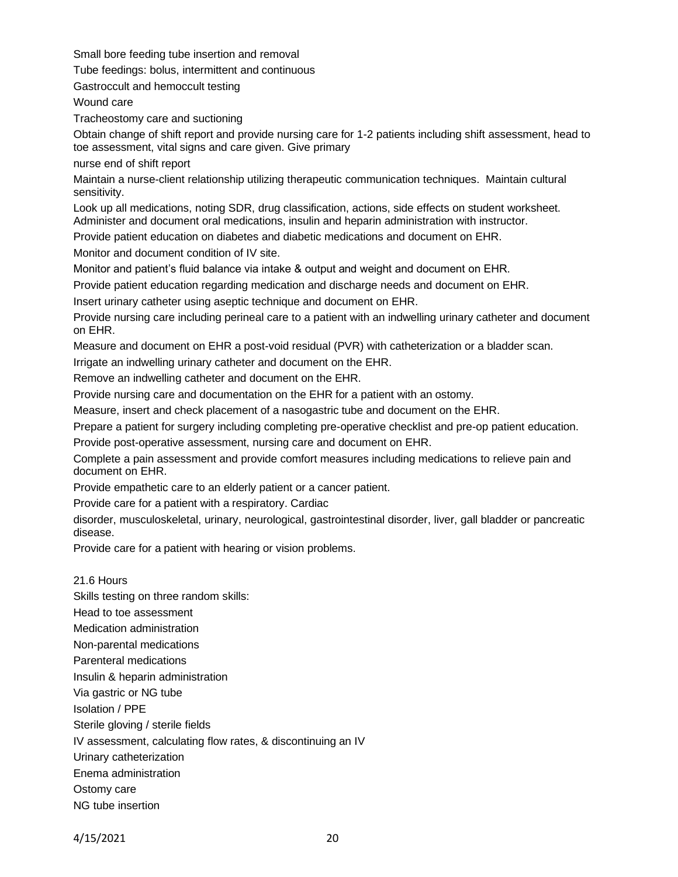Small bore feeding tube insertion and removal

Tube feedings: bolus, intermittent and continuous

Gastroccult and hemoccult testing

Wound care

Tracheostomy care and suctioning

Obtain change of shift report and provide nursing care for 1-2 patients including shift assessment, head to toe assessment, vital signs and care given. Give primary

nurse end of shift report

Maintain a nurse-client relationship utilizing therapeutic communication techniques. Maintain cultural sensitivity.

Look up all medications, noting SDR, drug classification, actions, side effects on student worksheet. Administer and document oral medications, insulin and heparin administration with instructor.

Provide patient education on diabetes and diabetic medications and document on EHR.

Monitor and document condition of IV site.

Monitor and patient's fluid balance via intake & output and weight and document on EHR.

Provide patient education regarding medication and discharge needs and document on EHR.

Insert urinary catheter using aseptic technique and document on EHR.

Provide nursing care including perineal care to a patient with an indwelling urinary catheter and document on EHR.

Measure and document on EHR a post-void residual (PVR) with catheterization or a bladder scan.

Irrigate an indwelling urinary catheter and document on the EHR.

Remove an indwelling catheter and document on the EHR.

Provide nursing care and documentation on the EHR for a patient with an ostomy.

Measure, insert and check placement of a nasogastric tube and document on the EHR.

Prepare a patient for surgery including completing pre-operative checklist and pre-op patient education.

Provide post-operative assessment, nursing care and document on EHR.

Complete a pain assessment and provide comfort measures including medications to relieve pain and document on EHR.

Provide empathetic care to an elderly patient or a cancer patient.

Provide care for a patient with a respiratory. Cardiac

disorder, musculoskeletal, urinary, neurological, gastrointestinal disorder, liver, gall bladder or pancreatic disease.

Provide care for a patient with hearing or vision problems.

#### 21.6 Hours

Skills testing on three random skills: Head to toe assessment Medication administration Non-parental medications Parenteral medications Insulin & heparin administration Via gastric or NG tube Isolation / PPE Sterile gloving / sterile fields IV assessment, calculating flow rates, & discontinuing an IV Urinary catheterization Enema administration Ostomy care

NG tube insertion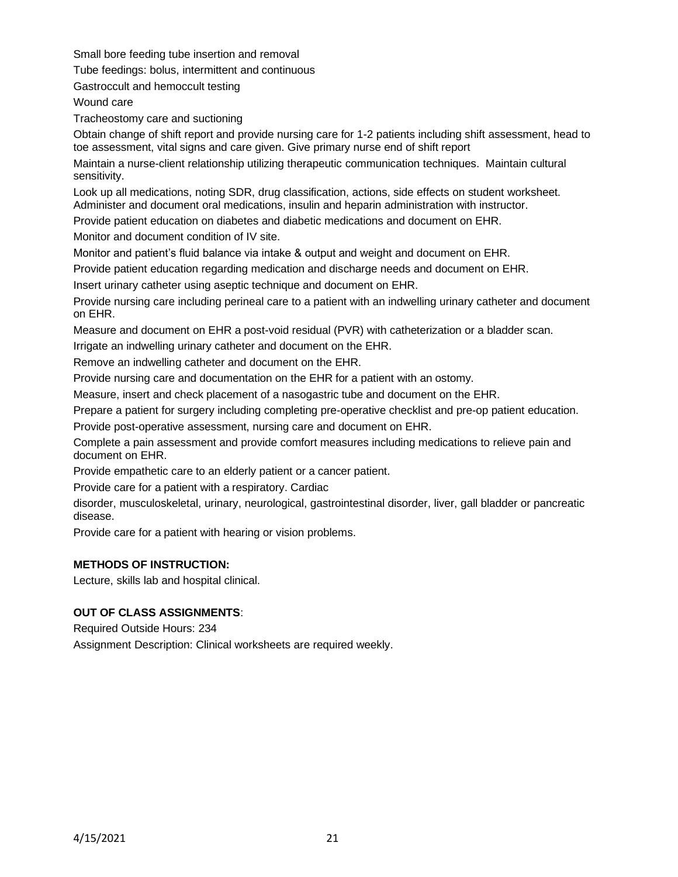Small bore feeding tube insertion and removal

Tube feedings: bolus, intermittent and continuous

Gastroccult and hemoccult testing

Wound care

Tracheostomy care and suctioning

Obtain change of shift report and provide nursing care for 1-2 patients including shift assessment, head to toe assessment, vital signs and care given. Give primary nurse end of shift report

Maintain a nurse-client relationship utilizing therapeutic communication techniques. Maintain cultural sensitivity.

Look up all medications, noting SDR, drug classification, actions, side effects on student worksheet. Administer and document oral medications, insulin and heparin administration with instructor.

Provide patient education on diabetes and diabetic medications and document on EHR.

Monitor and document condition of IV site.

Monitor and patient's fluid balance via intake & output and weight and document on EHR.

Provide patient education regarding medication and discharge needs and document on EHR.

Insert urinary catheter using aseptic technique and document on EHR.

Provide nursing care including perineal care to a patient with an indwelling urinary catheter and document on EHR.

Measure and document on EHR a post-void residual (PVR) with catheterization or a bladder scan.

Irrigate an indwelling urinary catheter and document on the EHR.

Remove an indwelling catheter and document on the EHR.

Provide nursing care and documentation on the EHR for a patient with an ostomy.

Measure, insert and check placement of a nasogastric tube and document on the EHR.

Prepare a patient for surgery including completing pre-operative checklist and pre-op patient education.

Provide post-operative assessment, nursing care and document on EHR.

Complete a pain assessment and provide comfort measures including medications to relieve pain and document on EHR.

Provide empathetic care to an elderly patient or a cancer patient.

Provide care for a patient with a respiratory. Cardiac

disorder, musculoskeletal, urinary, neurological, gastrointestinal disorder, liver, gall bladder or pancreatic disease.

Provide care for a patient with hearing or vision problems.

# **METHODS OF INSTRUCTION:**

Lecture, skills lab and hospital clinical.

# **OUT OF CLASS ASSIGNMENTS**:

Required Outside Hours: 234

Assignment Description: Clinical worksheets are required weekly.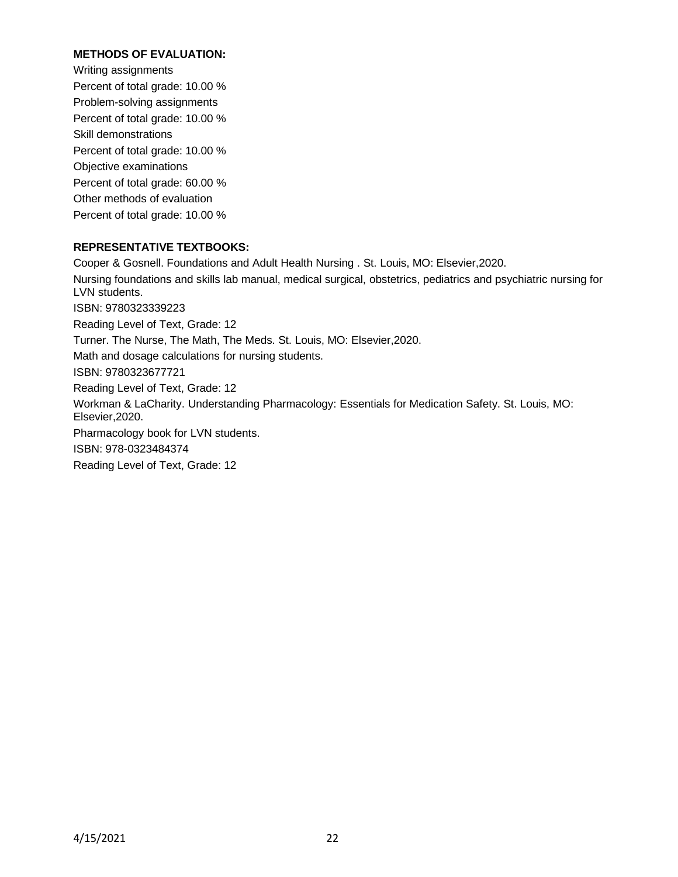# **METHODS OF EVALUATION:**

Writing assignments Percent of total grade: 10.00 % Problem-solving assignments Percent of total grade: 10.00 % Skill demonstrations Percent of total grade: 10.00 % Objective examinations Percent of total grade: 60.00 % Other methods of evaluation Percent of total grade: 10.00 %

## **REPRESENTATIVE TEXTBOOKS:**

Cooper & Gosnell. Foundations and Adult Health Nursing . St. Louis, MO: Elsevier,2020. Nursing foundations and skills lab manual, medical surgical, obstetrics, pediatrics and psychiatric nursing for LVN students. ISBN: 9780323339223 Reading Level of Text, Grade: 12 Turner. The Nurse, The Math, The Meds. St. Louis, MO: Elsevier,2020. Math and dosage calculations for nursing students. ISBN: 9780323677721 Reading Level of Text, Grade: 12 Workman & LaCharity. Understanding Pharmacology: Essentials for Medication Safety. St. Louis, MO: Elsevier,2020. Pharmacology book for LVN students. ISBN: 978-0323484374 Reading Level of Text, Grade: 12